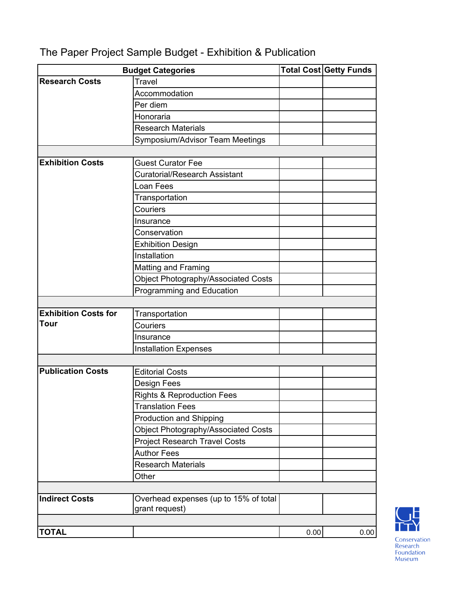| <b>Budget Categories</b>    |                                            |      | <b>Total Cost Getty Funds</b> |
|-----------------------------|--------------------------------------------|------|-------------------------------|
| <b>Research Costs</b>       | <b>Travel</b>                              |      |                               |
|                             | Accommodation                              |      |                               |
|                             | Per diem                                   |      |                               |
|                             | Honoraria                                  |      |                               |
|                             | <b>Research Materials</b>                  |      |                               |
|                             | Symposium/Advisor Team Meetings            |      |                               |
|                             |                                            |      |                               |
| <b>Exhibition Costs</b>     | <b>Guest Curator Fee</b>                   |      |                               |
|                             | <b>Curatorial/Research Assistant</b>       |      |                               |
|                             | Loan Fees                                  |      |                               |
|                             | Transportation                             |      |                               |
|                             | Couriers                                   |      |                               |
|                             | Insurance                                  |      |                               |
|                             | Conservation                               |      |                               |
|                             | <b>Exhibition Design</b>                   |      |                               |
|                             | Installation                               |      |                               |
|                             | <b>Matting and Framing</b>                 |      |                               |
|                             | <b>Object Photography/Associated Costs</b> |      |                               |
|                             | Programming and Education                  |      |                               |
|                             |                                            |      |                               |
| <b>Exhibition Costs for</b> | Transportation                             |      |                               |
| Tour                        | Couriers                                   |      |                               |
|                             | Insurance                                  |      |                               |
|                             | <b>Installation Expenses</b>               |      |                               |
|                             |                                            |      |                               |
| <b>Publication Costs</b>    | <b>Editorial Costs</b>                     |      |                               |
|                             | Design Fees                                |      |                               |
|                             | <b>Rights &amp; Reproduction Fees</b>      |      |                               |
|                             | <b>Translation Fees</b>                    |      |                               |
|                             | <b>Production and Shipping</b>             |      |                               |
|                             | <b>Object Photography/Associated Costs</b> |      |                               |
|                             | <b>Project Research Travel Costs</b>       |      |                               |
|                             | <b>Author Fees</b>                         |      |                               |
|                             | <b>Research Materials</b>                  |      |                               |
|                             | Other                                      |      |                               |
|                             |                                            |      |                               |
| <b>Indirect Costs</b>       | Overhead expenses (up to 15% of total      |      |                               |
|                             | grant request)                             |      |                               |
|                             |                                            |      |                               |
| <b>TOTAL</b>                |                                            | 0.00 | 0.00                          |

## The Paper Project Sample Budget - Exhibition & Publication

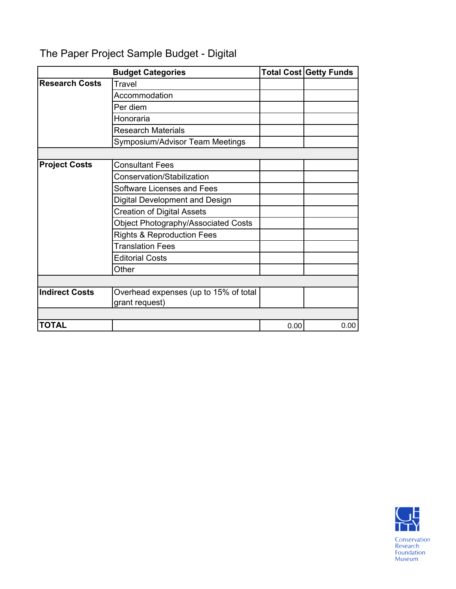|                       | <b>Budget Categories</b>                   |      | <b>Total Cost Getty Funds</b> |
|-----------------------|--------------------------------------------|------|-------------------------------|
| <b>Research Costs</b> | Travel                                     |      |                               |
|                       | Accommodation                              |      |                               |
|                       | Per diem                                   |      |                               |
|                       | Honoraria                                  |      |                               |
|                       | <b>Research Materials</b>                  |      |                               |
|                       | <b>Symposium/Advisor Team Meetings</b>     |      |                               |
|                       |                                            |      |                               |
| <b>Project Costs</b>  | <b>Consultant Fees</b>                     |      |                               |
|                       | Conservation/Stabilization                 |      |                               |
|                       | <b>Software Licenses and Fees</b>          |      |                               |
|                       | Digital Development and Design             |      |                               |
|                       | <b>Creation of Digital Assets</b>          |      |                               |
|                       | <b>Object Photography/Associated Costs</b> |      |                               |
|                       | <b>Rights &amp; Reproduction Fees</b>      |      |                               |
|                       | <b>Translation Fees</b>                    |      |                               |
|                       | <b>Editorial Costs</b>                     |      |                               |
|                       | Other                                      |      |                               |
|                       |                                            |      |                               |
| <b>Indirect Costs</b> | Overhead expenses (up to 15% of total      |      |                               |
|                       | grant request)                             |      |                               |
|                       |                                            |      |                               |
| <b>TOTAL</b>          |                                            | 0.00 | 0.00                          |

## The Paper Project Sample Budget - Digital